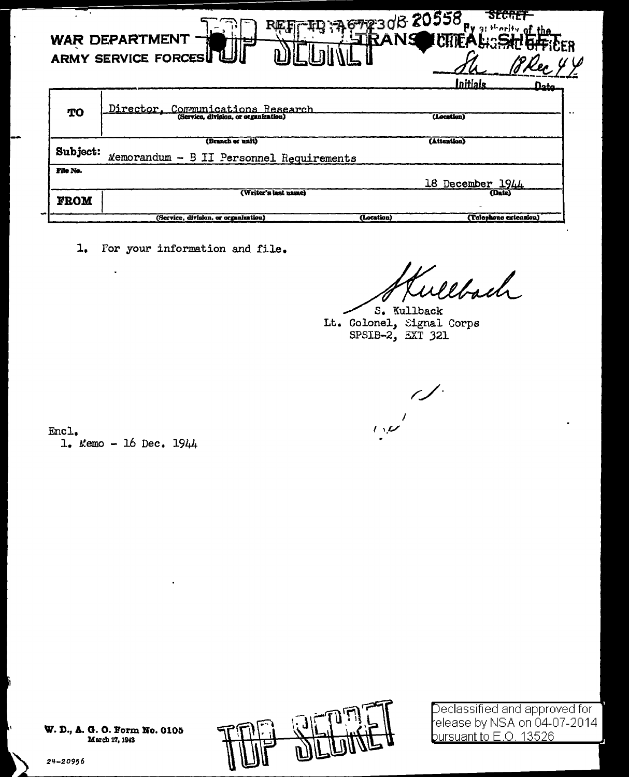|             | <b>WAR DEPARTMENT</b><br><b>ARMY SERVICE FORCESU</b>                      | 67230B 20558.<br>$OLO^{\dagger}$<br><b>IRANS</b><br>IMTFAL:SH<br>Initials<br>nata. |
|-------------|---------------------------------------------------------------------------|------------------------------------------------------------------------------------|
| TO          | Director, Communications Research<br>(Service, division, or organization) | (Location)                                                                         |
|             | (Branch or unit)                                                          | (Attention)                                                                        |
| Subject:    | Memorandum - B II Personnel Requirements                                  |                                                                                    |
| File No.    |                                                                           |                                                                                    |
|             |                                                                           | 18 December 1944                                                                   |
| <b>FROM</b> | (Writer's last name)                                                      | (Date)                                                                             |
|             | (Service, division, or organization)                                      | (Telephone extension)<br>(Location)                                                |

1. For your information and file.

Websch

S. Kullback Lt. Colonel, Signal Corps<br>SPSIB-2, EXT 321

Encl.  $1.$  Memo - 16 Dec.  $1944$ 



 $\mathsf{Declassified}$  and approved for elease by NSA on 04-07-2014 bursuant to E.O. 13526.

24-20956

March 27, 1943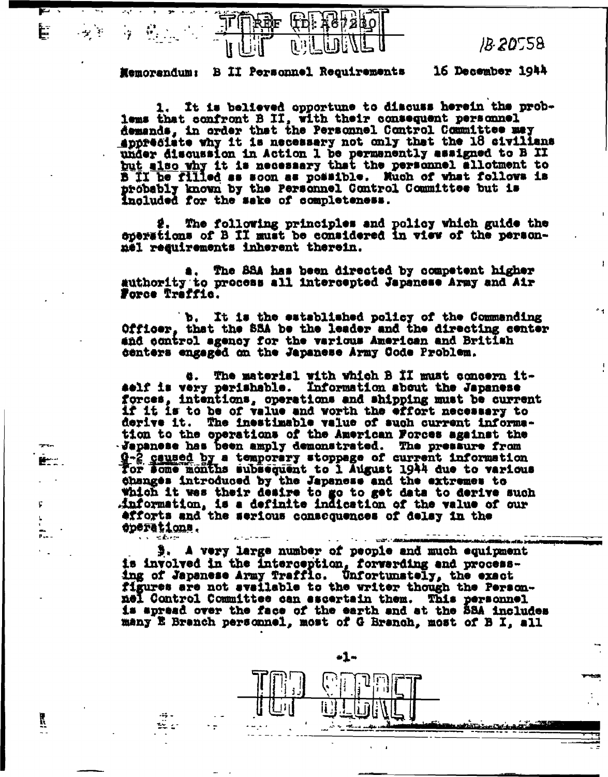È



 $IB.20558$ 

فتتضمن ستستشك

16 December 1944 Memorandum: B II Personnel Requirements

It is believed opportune to discuss herein the problems that confront B II, with their consequent personnel<br>demands, in order that the Personnel Control Committee may appresiate why it is necessary not only that the 18 civilians under discussion in Action I be permanently assigned to B II but also why it is necessary that the personnel allotment to B II be filled as soon as possible. Much of what follows is probably known by the Personnel Control Committee but is included for the sake of completeness.

2. The following principles and policy which guide the sperations of B II must be considered in view of the personnel reguirements inherent therein.

The 88A has been directed by competent higher authority to process all intercepted Japanese Army and Air Force Traffic.

b. It is the established policy of the Commanding Officer, that the SSA be the leader and the directing center and control agency for the various American and British centers engaged on the Japanese Army Code Problem.

The material with which B II must concern itä. aelf is very perishable. Information sbout the Japanese<br>forces, intentions, operations and shipping must be current if it is to be of value and worth the effort necessary to derive it. The inestimable value of such current information to the operations of the American Forces against the Japanese has been amply demonstrated. The pressure from 9-2 gaused by a temporary stoppage of current information for some months subsequent to I August 1944 due to various changes introduced by the Japanese and the extremes to which it was their desire to go to get data to derive such information, is a definite indication of the value of our efforts and the serious consequences of delay in the eperations.  $\mathbf{r} = \mathbf{r}$ 

3. A very large number of people and much equipment is involved in the Interception, forwarding and process-<br>ing of Japanese Army Traffic. Unfortunately, the exact figures are not available to the writer though the Personnel Control Committee can escertain them. This personnel is apread over the face of the earth and at the 88A includes many E Branch personnel, most of G Branch, most of B I, all

-1⊶

**The Contract Administration** 

Ĭζ.

si kr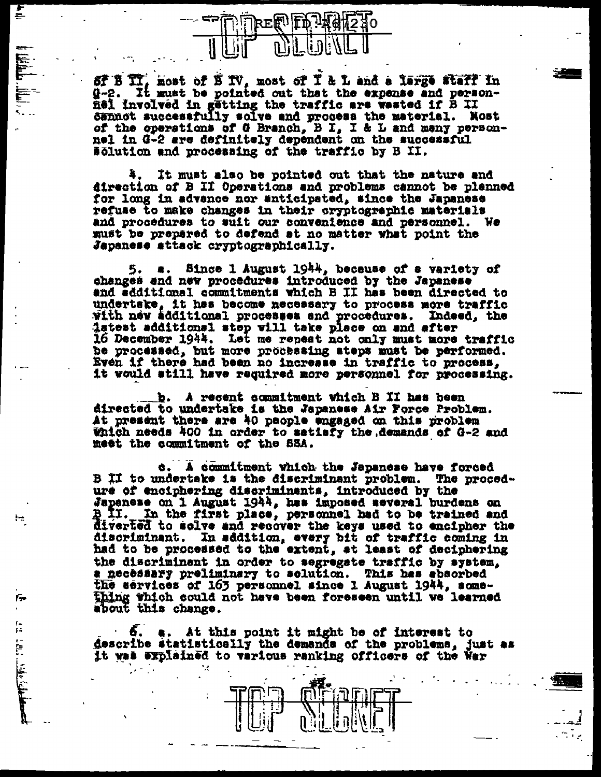

i<br>E

١÷

庈

de l'al. Mille de la mais

SF B II, most of B IV, most of I & L and a large staff in<br>Q-2. It must be pointed out that the expense and person-Q-2. nel involved in getting the traffic are wasted if B II dennot successfully solve and process the material. Nost of the operations of G Branch, B I, I & L and many person-<br>nel in G-2 are definitely dependent on the successful solution and processing of the traffic by B II.

4. It must also be pointed out that the nature and direction of B II Operations and problems cannot be planned for long in advance nor anticipated, since the Japanese refuse to make changes in their cryptographic materials and procedures to suit our convenience and personnel. We must be prepared to defend at no matter what point the Japanese attack cryptographically.

5. a. Since 1 August 1944, because of a variety of changes and new procedures introduced by the Japanese and edditional commitments which B II has been directed to undertake, it has become necessary to process more traffic<br>with new additional processes and procedures. Indeed, the latest additional step will take place on and after 16 December 1944. Let me repeat not only must more traffic be processed, but more processing steps must be performed.<br>Even if there had been no increase in traffic to process, it would still have required more personnel for processing.

b. A recent commitment which B II has been directed to undertake is the Japanese Air Force Problem. At present there are 40 people engaged on this problem Which needs 400 in order to satisfy the demands of G-2 and meet the commitment of the SSA.

c. A commitment which the Japanese have forced B II to undertake is the discriminant problem. The procedure of enciphering discriminants, introduced by the Japanese on 1 August 1944, has imposed several burdens on<br>B II. In the first place, personnel had to be trained and diverted to solve and recover the keys used to encipher the discriminant. In addition, every bit of traffic coming in had to be processed to the extent, at least of deciphering the discriminant in order to segregate traffic by system, a necessary preliminary to solution. This has absorbed the services of 163 personnel since 1 August 1944, something which could not have been foreseen until we learned about this change.

6. a. At this point it might be of interest to describe statistically the demands of the problems, just as it was explained to various ranking officers of the War

٠.



 $\sim$   $\sim$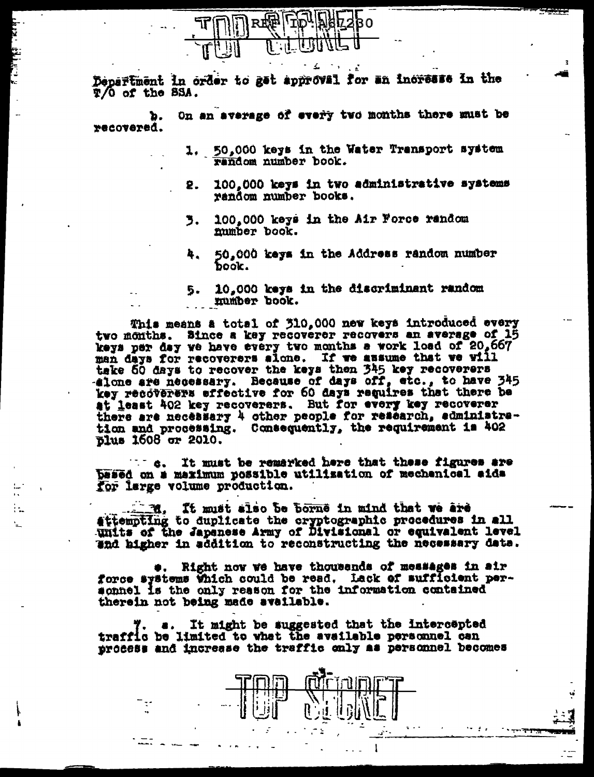

Department in order to get approval for an increase in the T/O of the SSA.

On an average of every two months there must be Þ. recovered.

> 1. 50,000 keys in the Water Transport system random number book.

. .

- 100,000 keys in two administrative systems 2. random number books.
- 100,000 keys in the Air Force random 3. mumber book.
- 50.000 keys in the Address random number 4. book.
- 10,000 keys in the discriminant random 5. number book.

This means a total of 310,000 new keys introduced every two months. Since a key recoverer recovers an average of 15 keys per day we have every two months a work load of 20,667 man days for recoverers sione. If we assume that we will take 60 days to recover the keys then 345 key recoverers -alone are necessary. Because of days off, etc., to have 345 key recoverers effective for 60 days requires that there be<br>at least 402 key recoverers. But for every key recoverer there are necessary 4 other people for research, administration and processing. Consequently, the requirement is 402

It must be remarked here that these figures are  $\mathbf{C} = \mathbf{C}$ besed on a maximum possible utilization of mechanical aida for large volume production.

÷.

1. It must also be borne in mind that we are attempting to duplicate the cryptographic procedures in all units of the Japanese Army of Divisional or equivalent level and higher in addition to reconstructing the necessary data.

Right now we have thousands of messages in air force systems Which could be read. Lack of sufficient personnel is the only reason for the information contained therein not being made available.

It might be suggested that the intercepted traffic be limited to what the available personnel can process and increase the traffic only as personnel becomes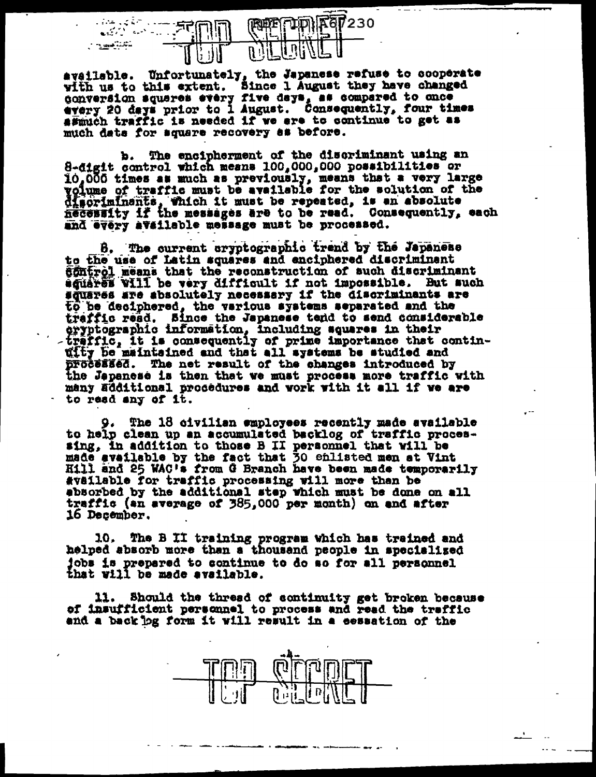$\zeta$  ,  $\zeta$  ,<br>  $\zeta$ 230  $\sim$   $\sim$ تتشيخ

available. Unfortunately, the Japanese refuse to cooperate<br>with us to this extent. Since 1 August they have changed<br>conversion squares every five days, as compared to once<br>every 20 days prior to 1 August. Consequently, fou much data for square recovery as before.

b. The encipherment of the discriminant using an 8-digit control which means  $100,000,000$  possibilities or 10,000 times as much as previously, means that a very large voiume of traffic must be available for the solution of the discriminants, which it must be repeated, is an absolute necessity if the messages are to be read. Consequently, each and every available message must be processed.

8. The current cryptographic trend by the Japanese to the use of latin squares and enciphered discriminant 60ntrol means that the reconstruction of such discriminant squares vill be very difficult if not impossible. But such squares are absolutely necessary if the discriminants are to be deciphered, the various systems separated and the traffic read. Since the Japanese tend to send considerable eryptographic information, including squares in their<br>traffic, it is consequently of prime importance that contin-<br>ufty be maintained and that all systems be studied and processed. The net result of the changes introduced by the Japanese is then that we must process more traffic with many additional procedures and work with it all if we are to read any of it.

The 18 civilian employees recently made available 9. to help clean up an accumulated backlog of traffic processing, in addition to those B II personnel that will be made available by the fact that 30 chlisted men at Vint Hill and 25 WAC's from G Branch have been made temporarily available for traffic processing will more than be absorbed by the additional step which must be done on all traffic (an average of 385,000 per month) on and after 16 December.

10. The B II training program which has trained and helped absorb more than a thousand people in specialized jobs is prepared to continue to do so for all personnel that will be made available.

11. Should the thread of continuity get broken because of insufficient personnel to process and read the traffic and a back jog form it will result in a eessation of the